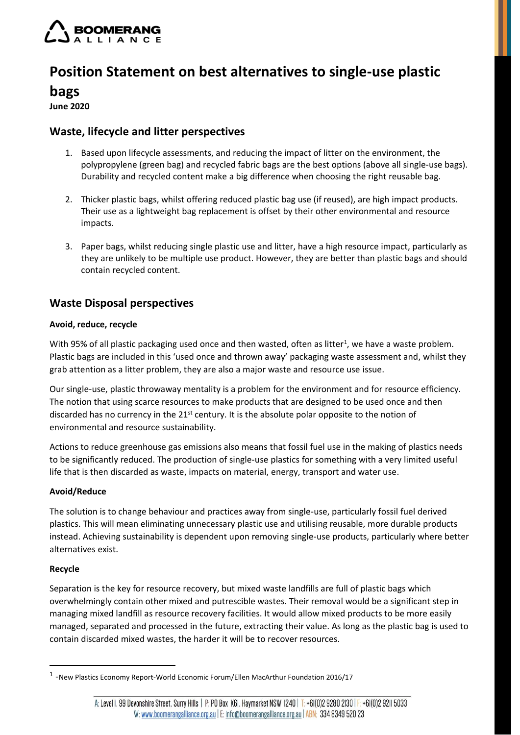

# **Position Statement on best alternatives to single-use plastic**

## **bags**

**June 2020**

## **Waste, lifecycle and litter perspectives**

- 1. Based upon lifecycle assessments, and reducing the impact of litter on the environment, the polypropylene (green bag) and recycled fabric bags are the best options (above all single-use bags). Durability and recycled content make a big difference when choosing the right reusable bag.
- 2. Thicker plastic bags, whilst offering reduced plastic bag use (if reused), are high impact products. Their use as a lightweight bag replacement is offset by their other environmental and resource impacts.
- 3. Paper bags, whilst reducing single plastic use and litter, have a high resource impact, particularly as they are unlikely to be multiple use product. However, they are better than plastic bags and should contain recycled content.

# **Waste Disposal perspectives**

### **Avoid, reduce, recycle**

With 95% of all plastic packaging used once and then wasted, often as litter<sup>1</sup>, we have a waste problem. Plastic bags are included in this 'used once and thrown away' packaging waste assessment and, whilst they grab attention as a litter problem, they are also a major waste and resource use issue.

Our single-use, plastic throwaway mentality is a problem for the environment and for resource efficiency. The notion that using scarce resources to make products that are designed to be used once and then discarded has no currency in the  $21<sup>st</sup>$  century. It is the absolute polar opposite to the notion of environmental and resource sustainability.

Actions to reduce greenhouse gas emissions also means that fossil fuel use in the making of plastics needs to be significantly reduced. The production of single-use plastics for something with a very limited useful life that is then discarded as waste, impacts on material, energy, transport and water use.

### **Avoid/Reduce**

The solution is to change behaviour and practices away from single-use, particularly fossil fuel derived plastics. This will mean eliminating unnecessary plastic use and utilising reusable, more durable products instead. Achieving sustainability is dependent upon removing single-use products, particularly where better alternatives exist.

### **Recycle**

Separation is the key for resource recovery, but mixed waste landfills are full of plastic bags which overwhelmingly contain other mixed and putrescible wastes. Their removal would be a significant step in managing mixed landfill as resource recovery facilities. It would allow mixed products to be more easily managed, separated and processed in the future, extracting their value. As long as the plastic bag is used to contain discarded mixed wastes, the harder it will be to recover resources.

<sup>1</sup> -New Plastics Economy Report-World Economic Forum/Ellen MacArthur Foundation 2016/17

A: Level I, 99 Devonshire Street, Surry Hills | P: PO Box K6I, Haymarket NSW 1240 | T: +6I(0)2 9280 2130 | F: +6I(0)2 92II 5033 W: www.boomerangalliance.org.au | E: info@boomerangalliance.org.au | ABN; 334 8349 520 23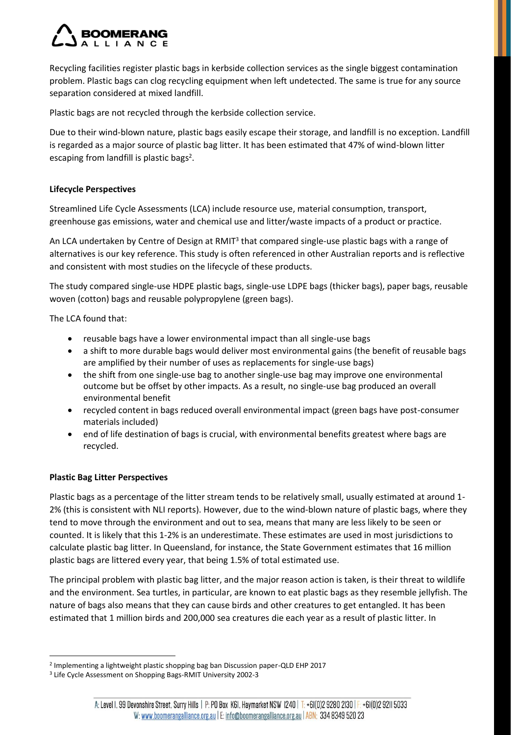Recycling facilities register plastic bags in kerbside collection services as the single biggest contamination problem. Plastic bags can clog recycling equipment when left undetected. The same is true for any source separation considered at mixed landfill.

Plastic bags are not recycled through the kerbside collection service.

Due to their wind-blown nature, plastic bags easily escape their storage, and landfill is no exception. Landfill is regarded as a major source of plastic bag litter. It has been estimated that 47% of wind-blown litter escaping from landfill is plastic bags<sup>2</sup>.

### **Lifecycle Perspectives**

Streamlined Life Cycle Assessments (LCA) include resource use, material consumption, transport, greenhouse gas emissions, water and chemical use and litter/waste impacts of a product or practice.

An LCA undertaken by Centre of Design at RMIT<sup>3</sup> that compared single-use plastic bags with a range of alternatives is our key reference. This study is often referenced in other Australian reports and is reflective and consistent with most studies on the lifecycle of these products.

The study compared single-use HDPE plastic bags, single-use LDPE bags (thicker bags), paper bags, reusable woven (cotton) bags and reusable polypropylene (green bags).

The LCA found that:

- reusable bags have a lower environmental impact than all single-use bags
- a shift to more durable bags would deliver most environmental gains (the benefit of reusable bags are amplified by their number of uses as replacements for single-use bags)
- the shift from one single-use bag to another single-use bag may improve one environmental outcome but be offset by other impacts. As a result, no single-use bag produced an overall environmental benefit
- recycled content in bags reduced overall environmental impact (green bags have post-consumer materials included)
- end of life destination of bags is crucial, with environmental benefits greatest where bags are recycled.

### **Plastic Bag Litter Perspectives**

Plastic bags as a percentage of the litter stream tends to be relatively small, usually estimated at around 1- 2% (this is consistent with NLI reports). However, due to the wind-blown nature of plastic bags, where they tend to move through the environment and out to sea, means that many are less likely to be seen or counted. It is likely that this 1-2% is an underestimate. These estimates are used in most jurisdictions to calculate plastic bag litter. In Queensland, for instance, the State Government estimates that 16 million plastic bags are littered every year, that being 1.5% of total estimated use.

The principal problem with plastic bag litter, and the major reason action is taken, is their threat to wildlife and the environment. Sea turtles, in particular, are known to eat plastic bags as they resemble jellyfish. The nature of bags also means that they can cause birds and other creatures to get entangled. It has been estimated that 1 million birds and 200,000 sea creatures die each year as a result of plastic litter. In

<sup>2</sup> Implementing a lightweight plastic shopping bag ban Discussion paper-QLD EHP 2017

<sup>3</sup> Life Cycle Assessment on Shopping Bags-RMIT University 2002-3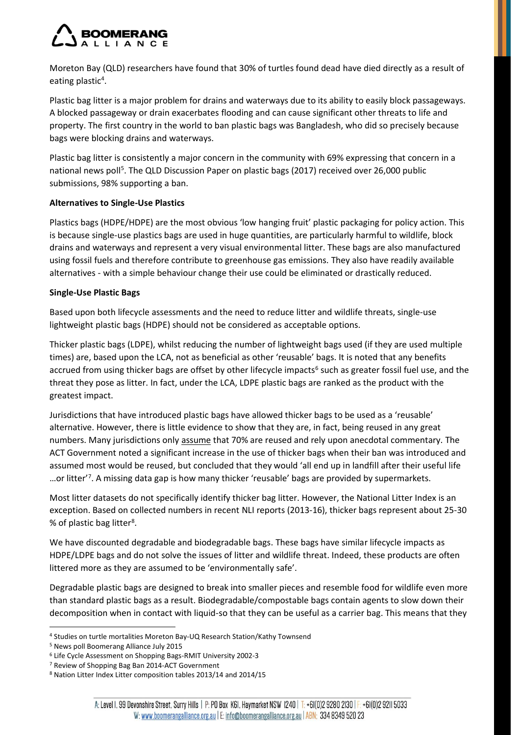Moreton Bay (QLD) researchers have found that 30% of turtles found dead have died directly as a result of eating plastic<sup>4</sup>.

Plastic bag litter is a major problem for drains and waterways due to its ability to easily block passageways. A blocked passageway or drain exacerbates flooding and can cause significant other threats to life and property. The first country in the world to ban plastic bags was Bangladesh, who did so precisely because bags were blocking drains and waterways.

Plastic bag litter is consistently a major concern in the community with 69% expressing that concern in a national news poll<sup>5</sup>. The QLD Discussion Paper on plastic bags (2017) received over 26,000 public submissions, 98% supporting a ban.

### **Alternatives to Single-Use Plastics**

Plastics bags (HDPE/HDPE) are the most obvious 'low hanging fruit' plastic packaging for policy action. This is because single-use plastics bags are used in huge quantities, are particularly harmful to wildlife, block drains and waterways and represent a very visual environmental litter. These bags are also manufactured using fossil fuels and therefore contribute to greenhouse gas emissions. They also have readily available alternatives - with a simple behaviour change their use could be eliminated or drastically reduced.

### **Single-Use Plastic Bags**

Based upon both lifecycle assessments and the need to reduce litter and wildlife threats, single-use lightweight plastic bags (HDPE) should not be considered as acceptable options.

Thicker plastic bags (LDPE), whilst reducing the number of lightweight bags used (if they are used multiple times) are, based upon the LCA, not as beneficial as other 'reusable' bags. It is noted that any benefits accrued from using thicker bags are offset by other lifecycle impacts<sup>6</sup> such as greater fossil fuel use, and the threat they pose as litter. In fact, under the LCA, LDPE plastic bags are ranked as the product with the greatest impact.

Jurisdictions that have introduced plastic bags have allowed thicker bags to be used as a 'reusable' alternative. However, there is little evidence to show that they are, in fact, being reused in any great numbers. Many jurisdictions only assume that 70% are reused and rely upon anecdotal commentary. The ACT Government noted a significant increase in the use of thicker bags when their ban was introduced and assumed most would be reused, but concluded that they would 'all end up in landfill after their useful life ...or litter'<sup>7</sup>. A missing data gap is how many thicker 'reusable' bags are provided by supermarkets.

Most litter datasets do not specifically identify thicker bag litter. However, the National Litter Index is an exception. Based on collected numbers in recent NLI reports (2013-16), thicker bags represent about 25-30 % of plastic bag litter<sup>8</sup>.

We have discounted degradable and biodegradable bags. These bags have similar lifecycle impacts as HDPE/LDPE bags and do not solve the issues of litter and wildlife threat. Indeed, these products are often littered more as they are assumed to be 'environmentally safe'.

Degradable plastic bags are designed to break into smaller pieces and resemble food for wildlife even more than standard plastic bags as a result. Biodegradable/compostable bags contain agents to slow down their decomposition when in contact with liquid-so that they can be useful as a carrier bag. This means that they

<sup>4</sup> Studies on turtle mortalities Moreton Bay-UQ Research Station/Kathy Townsend

<sup>5</sup> News poll Boomerang Alliance July 2015

<sup>6</sup> Life Cycle Assessment on Shopping Bags-RMIT University 2002-3

<sup>7</sup> Review of Shopping Bag Ban 2014-ACT Government

<sup>8</sup> Nation Litter Index Litter composition tables 2013/14 and 2014/15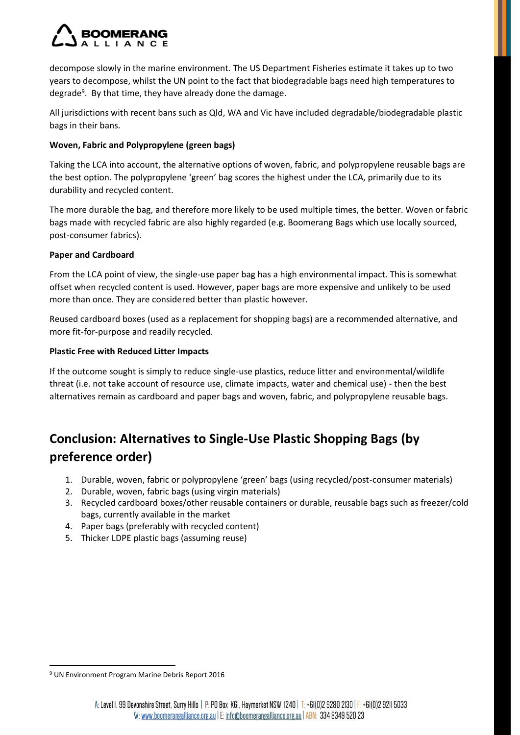decompose slowly in the marine environment. The US Department Fisheries estimate it takes up to two years to decompose, whilst the UN point to the fact that biodegradable bags need high temperatures to degrade<sup>9</sup>. By that time, they have already done the damage.

All jurisdictions with recent bans such as Qld, WA and Vic have included degradable/biodegradable plastic bags in their bans.

### **Woven, Fabric and Polypropylene (green bags)**

Taking the LCA into account, the alternative options of woven, fabric, and polypropylene reusable bags are the best option. The polypropylene 'green' bag scores the highest under the LCA, primarily due to its durability and recycled content.

The more durable the bag, and therefore more likely to be used multiple times, the better. Woven or fabric bags made with recycled fabric are also highly regarded (e.g. Boomerang Bags which use locally sourced, post-consumer fabrics).

#### **Paper and Cardboard**

From the LCA point of view, the single-use paper bag has a high environmental impact. This is somewhat offset when recycled content is used. However, paper bags are more expensive and unlikely to be used more than once. They are considered better than plastic however.

Reused cardboard boxes (used as a replacement for shopping bags) are a recommended alternative, and more fit-for-purpose and readily recycled.

#### **Plastic Free with Reduced Litter Impacts**

If the outcome sought is simply to reduce single-use plastics, reduce litter and environmental/wildlife threat (i.e. not take account of resource use, climate impacts, water and chemical use) - then the best alternatives remain as cardboard and paper bags and woven, fabric, and polypropylene reusable bags.

# **Conclusion: Alternatives to Single-Use Plastic Shopping Bags (by preference order)**

- 1. Durable, woven, fabric or polypropylene 'green' bags (using recycled/post-consumer materials)
- 2. Durable, woven, fabric bags (using virgin materials)
- 3. Recycled cardboard boxes/other reusable containers or durable, reusable bags such as freezer/cold bags, currently available in the market
- 4. Paper bags (preferably with recycled content)
- 5. Thicker LDPE plastic bags (assuming reuse)

<sup>9</sup> UN Environment Program Marine Debris Report 2016